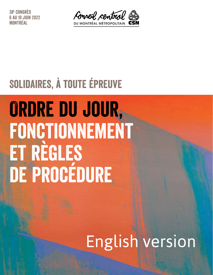38e Congrès U 10 JUIN 2022 NTRÉAI



# Solidaires, à toute épreuve

# Ordre du jour, FONCTIONNEMENT et règles DE PROGÉDURE

# English version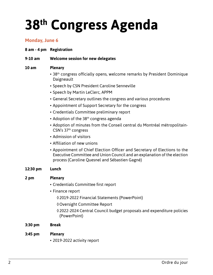# **38th Congress Agenda**

### **Monday, June 6**

**8 am - 4 pm Registration**

#### **9-10 am Welcome session for new delegates**

#### **10 am Plenary**

- 38<sup>th</sup> congress officially opens, welcome remarks by President Dominique **Daigneault**
- Speech by CSN President Caroline Senneville
- Speech by Martin LeClerc, APPM
- General Secretary outlines the congress and various procedures
- Appointment of Support Secretary for the congress
- Credentials Committee preliminary report
- Adoption of the  $38<sup>th</sup>$  congress agenda
- Adoption of minutes from the Conseil central du Montréal métropolitain-CSN's 37th congress
- Admission of visitors
- Affiliation of new unions
- Appointment of Chief Election Officer and Secretary of Elections to the Executive Committee and Union Council and an explanation of the election process (Caroline Quesnel and Sébastien Gagné)

#### **12:30 pm Lunch**

#### **2 pm Plenary**

- Credentials Committee first report
- Finance report
	- ◊2019-2022 Financial Statements (PowerPoint)
	- ◊Oversight Committee Report
	- ◊2022-2024 Central Council budget proposals and expenditure policies (PowerPoint)
- **3:30 pm Break**

#### **3:45 pm Plenary**

• 2019-2022 activity report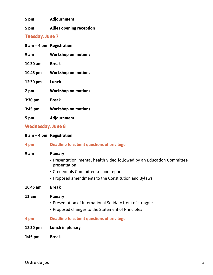**5 pm Adjournment**

**5 pm Allies opening reception**

## **Tuesday, June 7**

|            | $8$ am $-4$ pm Registration |
|------------|-----------------------------|
| 9 am       | <b>Workshop on motions</b>  |
| $10:30$ am | <b>Break</b>                |
| 10:45 pm   | <b>Workshop on motions</b>  |
| 12:30 pm   | Lunch                       |
| 2 pm       | <b>Workshop on motions</b>  |
| $3:30$ pm  | <b>Break</b>                |
| $3:45$ pm  | <b>Workshop on motions</b>  |
| 5 pm       | <b>Adjournment</b>          |
|            |                             |

## **Wednesday, June 8**

|  |  |  |  | 8 am - 4 pm Registration |  |
|--|--|--|--|--------------------------|--|
|--|--|--|--|--------------------------|--|

| 4 pm       | <b>Deadline to submit questions of privilege</b>                                       |
|------------|----------------------------------------------------------------------------------------|
| 9 am       | <b>Plenary</b>                                                                         |
|            | • Presentation: mental health video followed by an Education Committee<br>presentation |
|            | • Credentials Committee second report                                                  |
|            | • Proposed amendments to the Constitution and Bylaws                                   |
| $10:45$ am | <b>Break</b>                                                                           |
| 11 am      | <b>Plenary</b>                                                                         |
|            | • Presentation of International Solidary front of struggle                             |
|            | • Proposed changes to the Statement of Principles                                      |
| 4 pm       | Deadline to submit questions of privilege                                              |
| 12:30 pm   | Lunch in plenary                                                                       |

**1:45 pm Break**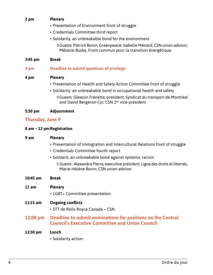#### **2 pm Plenary**

- Presentation of Environment front of struggle
- Credentials Committee third report
- Solidarity, an unbreakable bond for the environment
	- ◊Guests: Patrick Bonin, Greenpeace; Isabelle Ménard, CSN union advisor; Mélanie Busby, Front commun pour la transition énergétique

#### **3:45 pm Break**

#### **4 pm Deadline to submit questions of privilege**

#### **4 pm Plenary**

- Presentation of Health and Safety Action Committee front of struggle
- Solidarity, an unbreakable bond in occupational health and safety
	- ◊Guests: Gleason Frenette, president, Syndicat du transport de Montréal and David Bergeron-Cyr, CSN 2<sup>nd</sup> vice-president

#### **5:30 pm Adjournment**

#### **Thursday, June 9**

#### **8 am – 12 pmRegistration**

# **9 am Plenary** • Presentation of Immigration and Intercultural Relations front of struggle • Credentials Committee fourth report • Solidarit, an unbreakable bond against systemic racism ◊ Guests : Alexandra Pierre, executive président, Ligue des droits et libertés, Marie-Hélène Bonin, CSN union advisor **10:45 am Break 11 am Plenary** • LGBT+ Committee presentation **11:15 am Ongoing conflicts** • STT de Rolls-Royce Canada – CSN **12:00 pm Deadline to submit nominations for positions on the Central Council's Executive Committee and Union Council 12:30 pm Lunch**

• Solidarity action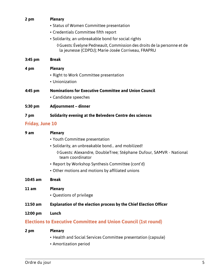### **2 pm Plenary** • Status of Women Committee presentation • Credentials Committee fifth report • Solidarity, an unbreakable bond for social rights ◊Guests: Évelyne Pedneault, Commission des droits de la personne et de la jeunesse (CDPDJ); Marie-Josée Corriveau, FRAPRU

#### **3:45 pm Break**

#### **4 pm Plenary**

- Right to Work Committee presentation
- Unionization
- **4:45 pm Nominations for Executive Committee and Union Council** • Candidate speeches
- **5:30 pm Adjournment dinner**

#### **7 pm Solidarity evening at the Belvedere Centre des sciences**

#### **Friday, June 10**

| 9 am       | <b>Plenary</b>                                                                        |  |  |  |
|------------|---------------------------------------------------------------------------------------|--|--|--|
|            | • Youth Committee presentation                                                        |  |  |  |
|            | • Solidarity, an unbreakable bond and mobilized!                                      |  |  |  |
|            | ぐGuests: Alexandre, DoubleTree; Stéphane Dufour, SAMVR - National<br>team coordinator |  |  |  |
|            | • Report by Workshop Synthesis Committee (cont'd)                                     |  |  |  |
|            | • Other motions and motions by affiliated unions                                      |  |  |  |
| $10:45$ am | <b>Break</b>                                                                          |  |  |  |
| 11 am      | <b>Plenary</b>                                                                        |  |  |  |
|            | • Questions of privilege                                                              |  |  |  |
| $11:50$ am | <b>Explanation of the election process by the Chief Election Officer</b>              |  |  |  |
| 12:00 pm   | Lunch                                                                                 |  |  |  |
|            | <b>Elections to Executive Committee and Union Council (1st round)</b>                 |  |  |  |
| 2 pm       | <b>Plenary</b>                                                                        |  |  |  |
|            | • Health and Social Services Committee presentation (capsule)                         |  |  |  |

• Amortization period